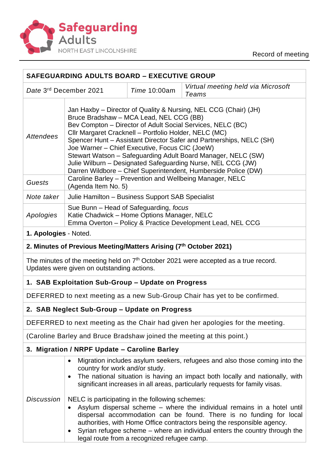

Record of meeting

| <b>SAFEGUARDING ADULTS BOARD - EXECUTIVE GROUP</b>                                                                                  |                                                                                                                                                                                                                                                                                                                                                                                                                                                                                                                                                             |                                             |                                                                                                                                                                                                                                                                                                         |
|-------------------------------------------------------------------------------------------------------------------------------------|-------------------------------------------------------------------------------------------------------------------------------------------------------------------------------------------------------------------------------------------------------------------------------------------------------------------------------------------------------------------------------------------------------------------------------------------------------------------------------------------------------------------------------------------------------------|---------------------------------------------|---------------------------------------------------------------------------------------------------------------------------------------------------------------------------------------------------------------------------------------------------------------------------------------------------------|
| Date 3rd December 2021<br>Time 10:00am<br>Teams                                                                                     |                                                                                                                                                                                                                                                                                                                                                                                                                                                                                                                                                             |                                             | Virtual meeting held via Microsoft                                                                                                                                                                                                                                                                      |
| <b>Attendees</b>                                                                                                                    | Jan Haxby – Director of Quality & Nursing, NEL CCG (Chair) (JH)<br>Bruce Bradshaw - MCA Lead, NEL CCG (BB)<br>Bev Compton - Director of Adult Social Services, NELC (BC)<br>Cllr Margaret Cracknell - Portfolio Holder, NELC (MC)<br>Spencer Hunt - Assistant Director Safer and Partnerships, NELC (SH)<br>Joe Warner - Chief Executive, Focus CIC (JoeW)<br>Stewart Watson - Safeguarding Adult Board Manager, NELC (SW)<br>Julie Wilburn - Designated Safeguarding Nurse, NEL CCG (JW)<br>Darren Wildbore - Chief Superintendent, Humberside Police (DW) |                                             |                                                                                                                                                                                                                                                                                                         |
| Guests                                                                                                                              | Caroline Barley - Prevention and Wellbeing Manager, NELC<br>(Agenda Item No. 5)                                                                                                                                                                                                                                                                                                                                                                                                                                                                             |                                             |                                                                                                                                                                                                                                                                                                         |
| Note taker                                                                                                                          | Julie Hamilton - Business Support SAB Specialist                                                                                                                                                                                                                                                                                                                                                                                                                                                                                                            |                                             |                                                                                                                                                                                                                                                                                                         |
| Apologies                                                                                                                           | Sue Bunn – Head of Safeguarding, focus<br>Katie Chadwick - Home Options Manager, NELC<br>Emma Overton - Policy & Practice Development Lead, NEL CCG                                                                                                                                                                                                                                                                                                                                                                                                         |                                             |                                                                                                                                                                                                                                                                                                         |
| 1. Apologies - Noted.                                                                                                               |                                                                                                                                                                                                                                                                                                                                                                                                                                                                                                                                                             |                                             |                                                                                                                                                                                                                                                                                                         |
|                                                                                                                                     | 2. Minutes of Previous Meeting/Matters Arising (7th October 2021)                                                                                                                                                                                                                                                                                                                                                                                                                                                                                           |                                             |                                                                                                                                                                                                                                                                                                         |
| The minutes of the meeting held on $7th$ October 2021 were accepted as a true record.<br>Updates were given on outstanding actions. |                                                                                                                                                                                                                                                                                                                                                                                                                                                                                                                                                             |                                             |                                                                                                                                                                                                                                                                                                         |
| 1. SAB Exploitation Sub-Group - Update on Progress                                                                                  |                                                                                                                                                                                                                                                                                                                                                                                                                                                                                                                                                             |                                             |                                                                                                                                                                                                                                                                                                         |
| DEFERRED to next meeting as a new Sub-Group Chair has yet to be confirmed.                                                          |                                                                                                                                                                                                                                                                                                                                                                                                                                                                                                                                                             |                                             |                                                                                                                                                                                                                                                                                                         |
| 2. SAB Neglect Sub-Group – Update on Progress                                                                                       |                                                                                                                                                                                                                                                                                                                                                                                                                                                                                                                                                             |                                             |                                                                                                                                                                                                                                                                                                         |
| DEFERRED to next meeting as the Chair had given her apologies for the meeting.                                                      |                                                                                                                                                                                                                                                                                                                                                                                                                                                                                                                                                             |                                             |                                                                                                                                                                                                                                                                                                         |
| (Caroline Barley and Bruce Bradshaw joined the meeting at this point.)                                                              |                                                                                                                                                                                                                                                                                                                                                                                                                                                                                                                                                             |                                             |                                                                                                                                                                                                                                                                                                         |
|                                                                                                                                     | 3. Migration / NRPF Update - Caroline Barley                                                                                                                                                                                                                                                                                                                                                                                                                                                                                                                |                                             |                                                                                                                                                                                                                                                                                                         |
|                                                                                                                                     | $\bullet$<br>country for work and/or study.<br>$\bullet$                                                                                                                                                                                                                                                                                                                                                                                                                                                                                                    |                                             | Migration includes asylum seekers, refugees and also those coming into the<br>The national situation is having an impact both locally and nationally, with<br>significant increases in all areas, particularly requests for family visas.                                                               |
| <b>Discussion</b>                                                                                                                   | NELC is participating in the following schemes:                                                                                                                                                                                                                                                                                                                                                                                                                                                                                                             | legal route from a recognized refugee camp. | Asylum dispersal scheme - where the individual remains in a hotel until<br>dispersal accommodation can be found. There is no funding for local<br>authorities, with Home Office contractors being the responsible agency.<br>Syrian refugee scheme - where an individual enters the country through the |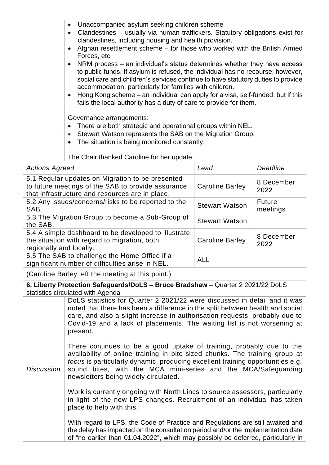| Unaccompanied asylum seeking children scheme<br>$\bullet$                                                                                                                                                                                                                                                                                                                                                                                                              |
|------------------------------------------------------------------------------------------------------------------------------------------------------------------------------------------------------------------------------------------------------------------------------------------------------------------------------------------------------------------------------------------------------------------------------------------------------------------------|
| Clandestines – usually via human traffickers. Statutory obligations exist for<br>$\bullet$<br>clandestines, including housing and health provision.                                                                                                                                                                                                                                                                                                                    |
| • Afghan resettlement scheme - for those who worked with the British Armed<br>Forces, etc.                                                                                                                                                                                                                                                                                                                                                                             |
| • NRM process – an individual's status determines whether they have access<br>to public funds. If asylum is refused, the individual has no recourse; however,<br>social care and children's services continue to have statutory duties to provide<br>accommodation, particularly for families with children.<br>• Hong Kong scheme – an individual can apply for a visa, self-funded, but if this<br>fails the local authority has a duty of care to provide for them. |
| Governance arrangements:<br>There are both strategic and operational groups within NEL.<br>• Stewart Watson represents the SAB on the Migration Group.<br>The situation is being monitored constantly.                                                                                                                                                                                                                                                                 |
| The Chair thanked Caroline for her update.                                                                                                                                                                                                                                                                                                                                                                                                                             |
|                                                                                                                                                                                                                                                                                                                                                                                                                                                                        |

| <b>Actions Agreed</b>                                                                                                                                     | Lead                   | Deadline                  |
|-----------------------------------------------------------------------------------------------------------------------------------------------------------|------------------------|---------------------------|
| 5.1 Regular updates on Migration to be presented<br>to future meetings of the SAB to provide assurance<br>that infrastructure and resources are in place. | Caroline Barley        | 8 December<br>2022        |
| 5.2 Any issues/concerns/risks to be reported to the<br>SAB.                                                                                               | <b>Stewart Watson</b>  | <b>Future</b><br>meetings |
| 5.3 The Migration Group to become a Sub-Group of<br>the SAB.                                                                                              | <b>Stewart Watson</b>  |                           |
| 5.4 A simple dashboard to be developed to illustrate<br>the situation with regard to migration, both<br>regionally and locally.                           | <b>Caroline Barley</b> | 8 December<br>2022        |
| 5.5 The SAB to challenge the Home Office if a<br>significant number of difficulties arise in NEL.                                                         | <b>ALL</b>             |                           |
|                                                                                                                                                           |                        |                           |

(Caroline Barley left the meeting at this point.)

**6. Liberty Protection Safeguards/DoLS – Bruce Bradshaw** – Quarter 2 2021/22 DoLS statistics circulated with Agenda

DoLS statistics for Quarter 2 2021/22 were discussed in detail and it was noted that there has been a difference in the split between health and social care, and also a slight increase in authorisation requests, probably due to Covid-19 and a lack of placements. The waiting list is not worsening at present.

*Discussion* There continues to be a good uptake of training, probably due to the availability of online training in bite-sized chunks. The training group at *focus* is particularly dynamic, producing excellent training opportunities e.g. sound bites, with the MCA mini-series and the MCA/Safeguarding newsletters being widely circulated.

> Work is currently ongoing with North Lincs to source assessors, particularly in light of the new LPS changes. Recruitment of an individual has taken place to help with this.

With regard to LPS, the Code of Practice and Regulations are still awaited and the delay has impacted on the consultation period and/or the implementation date of "no earlier than 01.04.2022", which may possibly be deferred, particularly in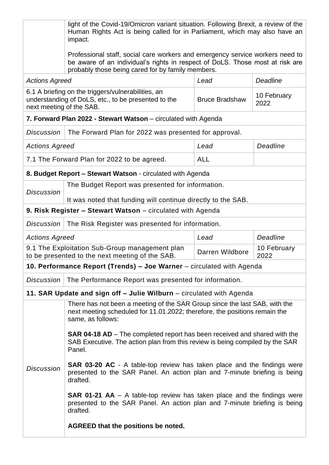|                                                                                                                                       | light of the Covid-19/Omicron variant situation. Following Brexit, a review of the<br>Human Rights Act is being called for in Parliament, which may also have an<br>impact.                                         |                       |                     |  |  |
|---------------------------------------------------------------------------------------------------------------------------------------|---------------------------------------------------------------------------------------------------------------------------------------------------------------------------------------------------------------------|-----------------------|---------------------|--|--|
|                                                                                                                                       | Professional staff, social care workers and emergency service workers need to<br>be aware of an individual's rights in respect of DoLS. Those most at risk are<br>probably those being cared for by family members. |                       |                     |  |  |
|                                                                                                                                       | Lead<br>Deadline<br><b>Actions Agreed</b>                                                                                                                                                                           |                       |                     |  |  |
| 6.1 A briefing on the triggers/vulnerabilities, an<br>understanding of DoLS, etc., to be presented to the<br>next meeting of the SAB. |                                                                                                                                                                                                                     | <b>Bruce Bradshaw</b> | 10 February<br>2022 |  |  |
|                                                                                                                                       | 7. Forward Plan 2022 - Stewart Watson – circulated with Agenda                                                                                                                                                      |                       |                     |  |  |
| <b>Discussion</b>                                                                                                                     | The Forward Plan for 2022 was presented for approval.                                                                                                                                                               |                       |                     |  |  |
| <b>Actions Agreed</b>                                                                                                                 |                                                                                                                                                                                                                     | Lead                  | Deadline            |  |  |
| 7.1 The Forward Plan for 2022 to be agreed.<br><b>ALL</b>                                                                             |                                                                                                                                                                                                                     |                       |                     |  |  |
|                                                                                                                                       | 8. Budget Report - Stewart Watson - circulated with Agenda                                                                                                                                                          |                       |                     |  |  |
| <b>Discussion</b>                                                                                                                     | The Budget Report was presented for information.                                                                                                                                                                    |                       |                     |  |  |
|                                                                                                                                       | It was noted that funding will continue directly to the SAB.                                                                                                                                                        |                       |                     |  |  |
|                                                                                                                                       | 9. Risk Register - Stewart Watson - circulated with Agenda                                                                                                                                                          |                       |                     |  |  |
| <b>Discussion</b>                                                                                                                     | The Risk Register was presented for information.                                                                                                                                                                    |                       |                     |  |  |
| Deadline<br><b>Actions Agreed</b><br>Lead                                                                                             |                                                                                                                                                                                                                     |                       |                     |  |  |
| 9.1 The Exploitation Sub-Group management plan<br>to be presented to the next meeting of the SAB.                                     |                                                                                                                                                                                                                     | Darren Wildbore       | 10 February<br>2022 |  |  |
|                                                                                                                                       | 10. Performance Report (Trends) - Joe Warner - circulated with Agenda                                                                                                                                               |                       |                     |  |  |
| <b>Discussion</b>                                                                                                                     | The Performance Report was presented for information.                                                                                                                                                               |                       |                     |  |  |
|                                                                                                                                       | 11. SAR Update and sign off - Julie Wilburn - circulated with Agenda                                                                                                                                                |                       |                     |  |  |
|                                                                                                                                       | There has not been a meeting of the SAR Group since the last SAB, with the<br>next meeting scheduled for 11.01.2022; therefore, the positions remain the<br>same, as follows:                                       |                       |                     |  |  |
|                                                                                                                                       | <b>SAR 04-18 AD</b> – The completed report has been received and shared with the<br>SAB Executive. The action plan from this review is being compiled by the SAR<br>Panel.                                          |                       |                     |  |  |
| <b>Discussion</b>                                                                                                                     | <b>SAR 03-20 AC</b> - A table-top review has taken place and the findings were<br>presented to the SAR Panel. An action plan and 7-minute briefing is being<br>drafted.                                             |                       |                     |  |  |
|                                                                                                                                       | <b>SAR 01-21 AA</b> $-$ A table-top review has taken place and the findings were<br>presented to the SAR Panel. An action plan and 7-minute briefing is being<br>drafted.                                           |                       |                     |  |  |
|                                                                                                                                       | AGREED that the positions be noted.                                                                                                                                                                                 |                       |                     |  |  |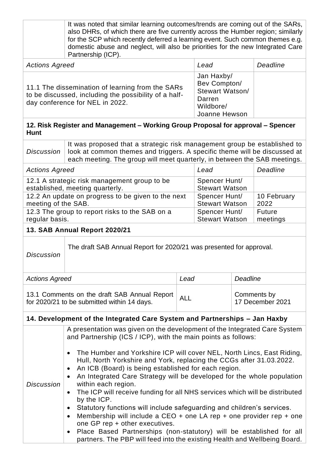|                                                                                                                                                                                                                                                                                                                                                                                                                                                                                                                                                                                                                                                                                                                                                                                                                                                                                                                                                                      | It was noted that similar learning outcomes/trends are coming out of the SARs,<br>also DHRs, of which there are five currently across the Humber region; similarly<br>for the SCP which recently deferred a learning event. Such common themes e.g.<br>domestic abuse and neglect, will also be priorities for the new Integrated Care<br>Partnership (ICP). |            |                                                                                              |                                 |                           |
|----------------------------------------------------------------------------------------------------------------------------------------------------------------------------------------------------------------------------------------------------------------------------------------------------------------------------------------------------------------------------------------------------------------------------------------------------------------------------------------------------------------------------------------------------------------------------------------------------------------------------------------------------------------------------------------------------------------------------------------------------------------------------------------------------------------------------------------------------------------------------------------------------------------------------------------------------------------------|--------------------------------------------------------------------------------------------------------------------------------------------------------------------------------------------------------------------------------------------------------------------------------------------------------------------------------------------------------------|------------|----------------------------------------------------------------------------------------------|---------------------------------|---------------------------|
| <b>Actions Agreed</b>                                                                                                                                                                                                                                                                                                                                                                                                                                                                                                                                                                                                                                                                                                                                                                                                                                                                                                                                                |                                                                                                                                                                                                                                                                                                                                                              |            | Lead                                                                                         |                                 | Deadline                  |
| 11.1 The dissemination of learning from the SARs<br>to be discussed, including the possibility of a half-<br>day conference for NEL in 2022.                                                                                                                                                                                                                                                                                                                                                                                                                                                                                                                                                                                                                                                                                                                                                                                                                         |                                                                                                                                                                                                                                                                                                                                                              |            | Jan Haxby/<br>Bev Compton/<br><b>Stewart Watson/</b><br>Darren<br>Wildbore/<br>Joanne Hewson |                                 |                           |
| 12. Risk Register and Management – Working Group Proposal for approval – Spencer<br><b>Hunt</b>                                                                                                                                                                                                                                                                                                                                                                                                                                                                                                                                                                                                                                                                                                                                                                                                                                                                      |                                                                                                                                                                                                                                                                                                                                                              |            |                                                                                              |                                 |                           |
| <b>Discussion</b>                                                                                                                                                                                                                                                                                                                                                                                                                                                                                                                                                                                                                                                                                                                                                                                                                                                                                                                                                    | It was proposed that a strategic risk management group be established to<br>look at common themes and triggers. A specific theme will be discussed at<br>each meeting. The group will meet quarterly, in between the SAB meetings.                                                                                                                           |            |                                                                                              |                                 |                           |
| <b>Actions Agreed</b>                                                                                                                                                                                                                                                                                                                                                                                                                                                                                                                                                                                                                                                                                                                                                                                                                                                                                                                                                |                                                                                                                                                                                                                                                                                                                                                              |            | Lead                                                                                         |                                 | Deadline                  |
| 12.1 A strategic risk management group to be<br>established, meeting quarterly.                                                                                                                                                                                                                                                                                                                                                                                                                                                                                                                                                                                                                                                                                                                                                                                                                                                                                      |                                                                                                                                                                                                                                                                                                                                                              |            | Spencer Hunt/<br><b>Stewart Watson</b>                                                       |                                 |                           |
| 12.2 An update on progress to be given to the next<br>meeting of the SAB.                                                                                                                                                                                                                                                                                                                                                                                                                                                                                                                                                                                                                                                                                                                                                                                                                                                                                            |                                                                                                                                                                                                                                                                                                                                                              |            | Spencer Hunt/<br><b>Stewart Watson</b>                                                       |                                 | 10 February<br>2022       |
| 12.3 The group to report risks to the SAB on a<br>regular basis.                                                                                                                                                                                                                                                                                                                                                                                                                                                                                                                                                                                                                                                                                                                                                                                                                                                                                                     |                                                                                                                                                                                                                                                                                                                                                              |            | Spencer Hunt/<br><b>Stewart Watson</b>                                                       |                                 | <b>Future</b><br>meetings |
|                                                                                                                                                                                                                                                                                                                                                                                                                                                                                                                                                                                                                                                                                                                                                                                                                                                                                                                                                                      | 13. SAB Annual Report 2020/21                                                                                                                                                                                                                                                                                                                                |            |                                                                                              |                                 |                           |
| <b>Discussion</b>                                                                                                                                                                                                                                                                                                                                                                                                                                                                                                                                                                                                                                                                                                                                                                                                                                                                                                                                                    | The draft SAB Annual Report for 2020/21 was presented for approval.                                                                                                                                                                                                                                                                                          |            |                                                                                              |                                 |                           |
| <b>Actions Agreed</b>                                                                                                                                                                                                                                                                                                                                                                                                                                                                                                                                                                                                                                                                                                                                                                                                                                                                                                                                                |                                                                                                                                                                                                                                                                                                                                                              |            | Deadline<br>Lead                                                                             |                                 |                           |
| 13.1 Comments on the draft SAB Annual Report<br>for 2020/21 to be submitted within 14 days.                                                                                                                                                                                                                                                                                                                                                                                                                                                                                                                                                                                                                                                                                                                                                                                                                                                                          |                                                                                                                                                                                                                                                                                                                                                              | <b>ALL</b> |                                                                                              | Comments by<br>17 December 2021 |                           |
|                                                                                                                                                                                                                                                                                                                                                                                                                                                                                                                                                                                                                                                                                                                                                                                                                                                                                                                                                                      | 14. Development of the Integrated Care System and Partnerships - Jan Haxby                                                                                                                                                                                                                                                                                   |            |                                                                                              |                                 |                           |
| A presentation was given on the development of the Integrated Care System<br>and Partnership (ICS / ICP), with the main points as follows:<br>The Humber and Yorkshire ICP will cover NEL, North Lincs, East Riding,<br>Hull, North Yorkshire and York, replacing the CCGs after 31.03.2022.<br>An ICB (Board) is being established for each region.<br>$\bullet$<br>An Integrated Care Strategy will be developed for the whole population<br>within each region.<br><b>Discussion</b><br>The ICP will receive funding for all NHS services which will be distributed<br>$\bullet$<br>by the ICP.<br>Statutory functions will include safeguarding and children's services.<br>$\bullet$<br>Membership will include a CEO + one LA rep + one provider rep + one<br>one GP rep + other executives.<br>Place Based Partnerships (non-statutory) will be established for all<br>$\bullet$<br>partners. The PBP will feed into the existing Health and Wellbeing Board. |                                                                                                                                                                                                                                                                                                                                                              |            |                                                                                              |                                 |                           |